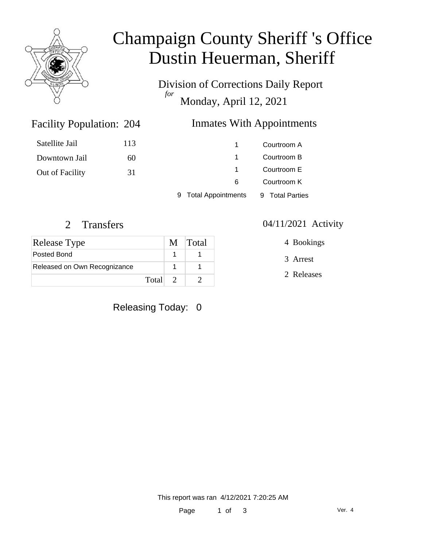

# Champaign County Sheriff 's Office Dustin Heuerman, Sheriff

Division of Corrections Daily Report *for* Monday, April 12, 2021

# Inmates With Appointments

| Satellite Jail  | 113 | 1                    | Courtroom A     |
|-----------------|-----|----------------------|-----------------|
| Downtown Jail   | 60  |                      | Courtroom B     |
| Out of Facility | 31  |                      | Courtroom E     |
|                 |     | 6                    | Courtroom K     |
|                 |     | 9 Total Appointments | 9 Total Parties |

Facility Population: 204

| Release Type                 |         | M Total |
|------------------------------|---------|---------|
| Posted Bond                  |         |         |
| Released on Own Recognizance |         |         |
|                              | Total 2 |         |

### Releasing Today: 0

#### 2 Transfers 04/11/2021 Activity

4 Bookings

3 Arrest

2 Releases

This report was ran 4/12/2021 7:20:25 AM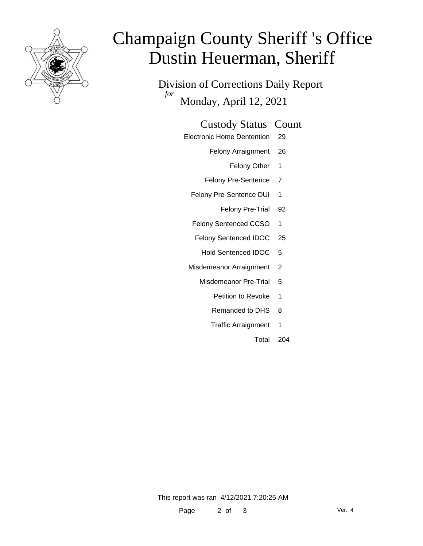

# Champaign County Sheriff 's Office Dustin Heuerman, Sheriff

Division of Corrections Daily Report *for* Monday, April 12, 2021

#### Custody Status Count

- Electronic Home Dentention 29
	- Felony Arraignment 26
		- Felony Other 1
	- Felony Pre-Sentence 7
	- Felony Pre-Sentence DUI 1
		- Felony Pre-Trial 92
	- Felony Sentenced CCSO 1
	- Felony Sentenced IDOC 25
		- Hold Sentenced IDOC 5
	- Misdemeanor Arraignment 2
		- Misdemeanor Pre-Trial 5
			- Petition to Revoke 1
			- Remanded to DHS 8
			- Traffic Arraignment 1
				- Total 204

This report was ran 4/12/2021 7:20:25 AM